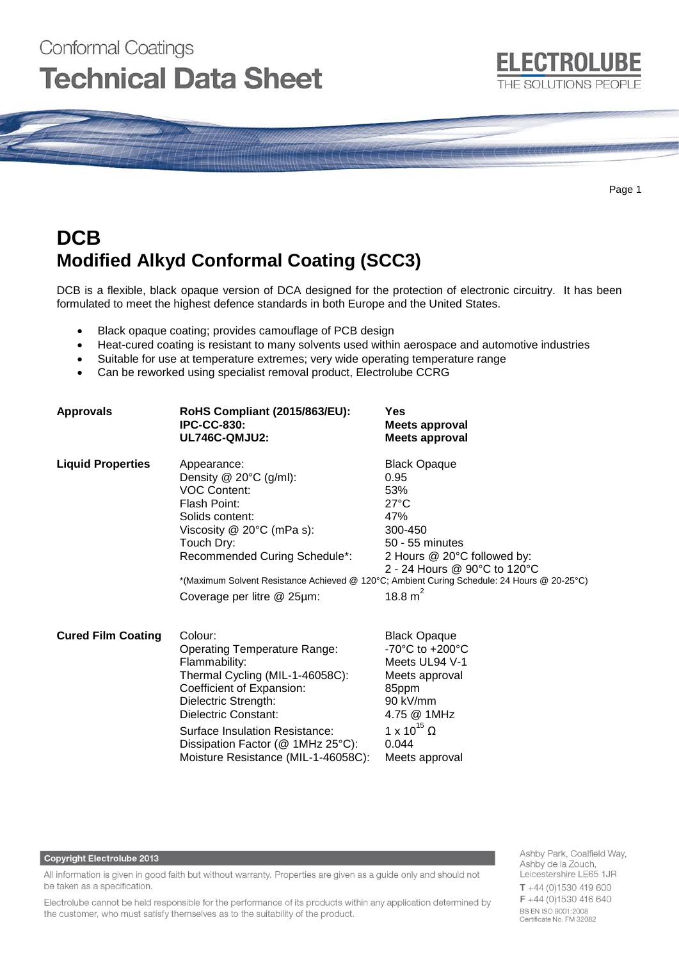# Conformal Coatings **Technical Data Sheet**

Page 1

# **DCB Modified Alkyd Conformal Coating (SCC3)**

DCB is a flexible, black opaque version of DCA designed for the protection of electronic circuitry. It has been formulated to meet the highest defence standards in both Europe and the United States.

- Black opaque coating; provides camouflage of PCB design
- Heat-cured coating is resistant to many solvents used within aerospace and automotive industries
- Suitable for use at temperature extremes; very wide operating temperature range
- Can be reworked using specialist removal product, Electrolube CCRG

| <b>Approvals</b>          | RoHS Compliant (2015/863/EU):<br><b>IPC-CC-830:</b><br>UL746C-QMJU2:                                                                                                                                                                                                                          | Yes<br><b>Meets approval</b><br><b>Meets approval</b>                                                                                                                                                                                                                 |
|---------------------------|-----------------------------------------------------------------------------------------------------------------------------------------------------------------------------------------------------------------------------------------------------------------------------------------------|-----------------------------------------------------------------------------------------------------------------------------------------------------------------------------------------------------------------------------------------------------------------------|
| <b>Liquid Properties</b>  | Appearance:<br>Density $@$ 20 $°C$ (g/ml):<br><b>VOC Content:</b><br>Flash Point:<br>Solids content:<br>Viscosity $@$ 20 $°C$ (mPa s):<br>Touch Dry:<br>Recommended Curing Schedule*:<br>Coverage per litre @ 25µm:                                                                           | <b>Black Opaque</b><br>0.95<br>53%<br>$27^{\circ}$ C<br>47%<br>300-450<br>50 - 55 minutes<br>2 Hours @ 20°C followed by:<br>2 - 24 Hours @ 90°C to 120°C<br>*(Maximum Solvent Resistance Achieved @ 120°C; Ambient Curing Schedule: 24 Hours @ 20-25°C)<br>18.8 $m^2$ |
| <b>Cured Film Coating</b> | Colour:<br><b>Operating Temperature Range:</b><br>Flammability:<br>Thermal Cycling (MIL-1-46058C):<br>Coefficient of Expansion:<br>Dielectric Strength:<br>Dielectric Constant:<br>Surface Insulation Resistance:<br>Dissipation Factor (@ 1MHz 25°C):<br>Moisture Resistance (MIL-1-46058C): | <b>Black Opaque</b><br>-70 $^{\circ}$ C to +200 $^{\circ}$ C<br>Meets UL94 V-1<br>Meets approval<br>85ppm<br>90 kV/mm<br>4.75 @ 1MHz<br>1 x 10 <sup>15</sup> $\Omega$<br>0.044<br>Meets approval                                                                      |

#### **Copyright Electrolube 2013**

All information is given in good faith but without warranty. Properties are given as a guide only and should not be taken as a specification.

Electrolube cannot be held responsible for the performance of its products within any application determined by the customer, who must satisfy themselves as to the suitability of the product.

Ashby Park, Coalfield Way, Ashby de la Zouch, Leicestershire LE65 1JR  $T + 44(0)1530419600$ F +44 (0)1530 416 640 BS EN ISO 9001:2008 Certificate No. FM 32082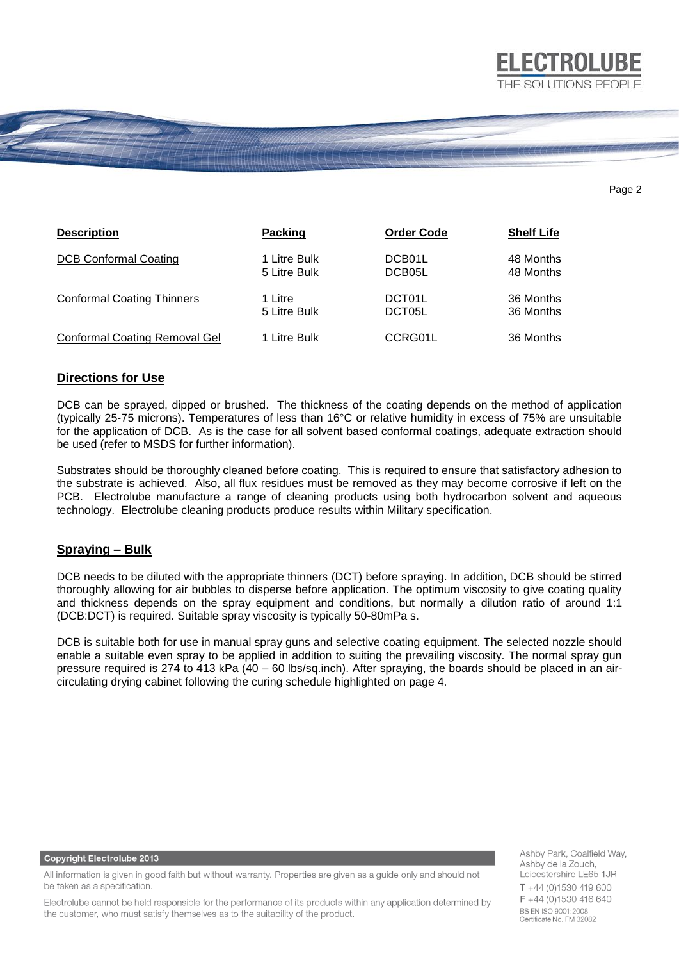

#### Page 2

**ELECTROLUBE** 

| <b>Description</b>                | <b>Packing</b> | <b>Order Code</b>   | <b>Shelf Life</b> |
|-----------------------------------|----------------|---------------------|-------------------|
| <b>DCB Conformal Coating</b>      | 1 Litre Bulk   | DCB01L              | 48 Months         |
|                                   | 5 Litre Bulk   | DCB05L              | 48 Months         |
| <b>Conformal Coating Thinners</b> | 1 Litre        | DCT01L              | 36 Months         |
|                                   | 5 Litre Bulk   | DCT <sub>05</sub> L | 36 Months         |
| Conformal Coating Removal Gel     | 1 Litre Bulk   | CCRG01L             | 36 Months         |

# **Directions for Use**

DCB can be sprayed, dipped or brushed. The thickness of the coating depends on the method of application (typically 25-75 microns). Temperatures of less than 16°C or relative humidity in excess of 75% are unsuitable for the application of DCB. As is the case for all solvent based conformal coatings, adequate extraction should be used (refer to MSDS for further information).

Substrates should be thoroughly cleaned before coating. This is required to ensure that satisfactory adhesion to the substrate is achieved. Also, all flux residues must be removed as they may become corrosive if left on the PCB. Electrolube manufacture a range of cleaning products using both hydrocarbon solvent and aqueous technology. Electrolube cleaning products produce results within Military specification.

# **Spraying – Bulk**

DCB needs to be diluted with the appropriate thinners (DCT) before spraying. In addition, DCB should be stirred thoroughly allowing for air bubbles to disperse before application. The optimum viscosity to give coating quality and thickness depends on the spray equipment and conditions, but normally a dilution ratio of around 1:1 (DCB:DCT) is required. Suitable spray viscosity is typically 50-80mPa s.

DCB is suitable both for use in manual spray guns and selective coating equipment. The selected nozzle should enable a suitable even spray to be applied in addition to suiting the prevailing viscosity. The normal spray gun pressure required is 274 to 413 kPa (40 – 60 lbs/sq.inch). After spraying, the boards should be placed in an aircirculating drying cabinet following the curing schedule highlighted on page 4.

#### **Copyright Electrolube 2013**

All information is given in good faith but without warranty. Properties are given as a guide only and should not be taken as a specification.

Electrolube cannot be held responsible for the performance of its products within any application determined by the customer, who must satisfy themselves as to the suitability of the product.

Ashby Park, Coalfield Way, Ashby de la Zouch, Leicestershire LE65 1JR  $T + 44$  (0)1530 419 600 F +44 (0)1530 416 640 BS EN ISO 9001:2008 Certificate No. FM 32082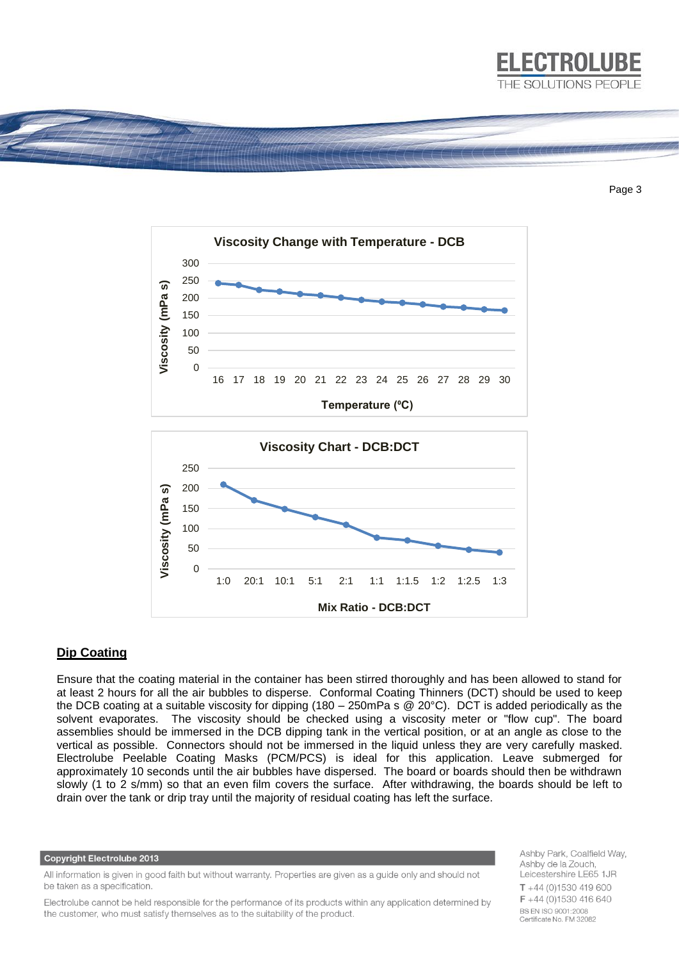

Page 3



## **Dip Coating**

Ensure that the coating material in the container has been stirred thoroughly and has been allowed to stand for at least 2 hours for all the air bubbles to disperse. Conformal Coating Thinners (DCT) should be used to keep the DCB coating at a suitable viscosity for dipping (180 – 250mPa s  $\ddot{\textcirc}$  20°C). DCT is added periodically as the solvent evaporates. The viscosity should be checked using a viscosity meter or "flow cup". The board assemblies should be immersed in the DCB dipping tank in the vertical position, or at an angle as close to the vertical as possible. Connectors should not be immersed in the liquid unless they are very carefully masked. Electrolube Peelable Coating Masks (PCM/PCS) is ideal for this application. Leave submerged for approximately 10 seconds until the air bubbles have dispersed. The board or boards should then be withdrawn slowly (1 to 2 s/mm) so that an even film covers the surface. After withdrawing, the boards should be left to drain over the tank or drip tray until the majority of residual coating has left the surface.

#### **Copyright Electrolube 2013**

All information is given in good faith but without warranty. Properties are given as a guide only and should not be taken as a specification.

Electrolube cannot be held responsible for the performance of its products within any application determined by the customer, who must satisfy themselves as to the suitability of the product.

Ashby Park, Coalfield Way, Ashby de la Zouch, Leicestershire LE65 1JR  $T + 44(0)1530419600$ F +44 (0)1530 416 640 **BS EN ISO 9001:2008** Certificate No. FM 32082